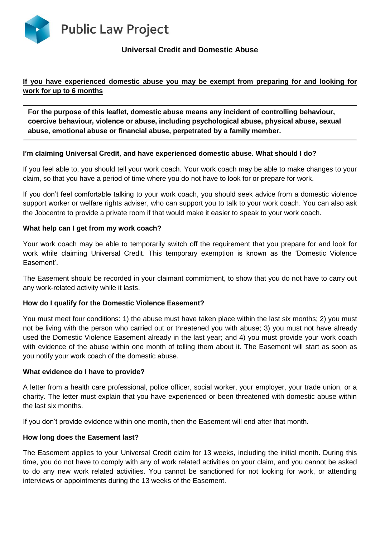

# **Universal Credit and Domestic Abuse**

## **If you have experienced domestic abuse you may be exempt from preparing for and looking for work for up to 6 months**

**For the purpose of this leaflet, domestic abuse means any incident of controlling behaviour, coercive behaviour, violence or abuse, including psychological abuse, physical abuse, sexual abuse, emotional abuse or financial abuse, perpetrated by a family member.**

### **I'm claiming Universal Credit, and have experienced domestic abuse. What should I do?**

If you feel able to, you should tell your work coach. Your work coach may be able to make changes to your claim, so that you have a period of time where you do not have to look for or prepare for work.

If you don't feel comfortable talking to your work coach, you should seek advice from a domestic violence support worker or welfare rights adviser, who can support you to talk to your work coach. You can also ask the Jobcentre to provide a private room if that would make it easier to speak to your work coach.

### **What help can I get from my work coach?**

Your work coach may be able to temporarily switch off the requirement that you prepare for and look for work while claiming Universal Credit. This temporary exemption is known as the 'Domestic Violence Easement'.

The Easement should be recorded in your claimant commitment, to show that you do not have to carry out any work-related activity while it lasts.

### **How do I qualify for the Domestic Violence Easement?**

You must meet four conditions: 1) the abuse must have taken place within the last six months; 2) you must not be living with the person who carried out or threatened you with abuse; 3) you must not have already used the Domestic Violence Easement already in the last year; and 4) you must provide your work coach with evidence of the abuse within one month of telling them about it. The Easement will start as soon as you notify your work coach of the domestic abuse.

### **What evidence do I have to provide?**

A letter from a health care professional, police officer, social worker, your employer, your trade union, or a charity. The letter must explain that you have experienced or been threatened with domestic abuse within the last six months.

If you don't provide evidence within one month, then the Easement will end after that month.

### **How long does the Easement last?**

The Easement applies to your Universal Credit claim for 13 weeks, including the initial month. During this time, you do not have to comply with any of work related activities on your claim, and you cannot be asked to do any new work related activities. You cannot be sanctioned for not looking for work, or attending interviews or appointments during the 13 weeks of the Easement.